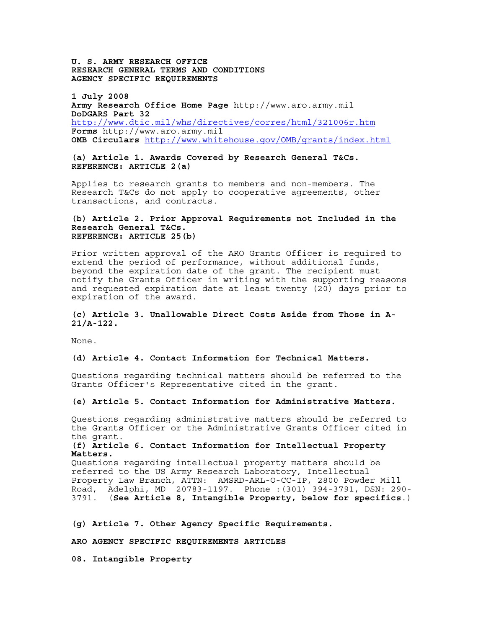**U. S. ARMY RESEARCH OFFICE RESEARCH GENERAL TERMS AND CONDITIONS AGENCY SPECIFIC REQUIREMENTS** 

**1 July 2008 Army Research Office Home Page** http://www.aro.army.mil **DoDGARS Part 32** http://www.dtic.mil/whs/directives/corres/html/321006r.htm **Forms** http://www.aro.army.mil **OMB Circulars** http://www.whitehouse.gov/OMB/grants/index.html

**(a) Article 1. Awards Covered by Research General T&Cs. REFERENCE: ARTICLE 2(a)** 

Applies to research grants to members and non-members. The Research T&Cs do not apply to cooperative agreements, other transactions, and contracts.

#### **(b) Article 2. Prior Approval Requirements not Included in the Research General T&Cs. REFERENCE: ARTICLE 25(b)**

Prior written approval of the ARO Grants Officer is required to extend the period of performance, without additional funds, beyond the expiration date of the grant. The recipient must notify the Grants Officer in writing with the supporting reasons and requested expiration date at least twenty (20) days prior to expiration of the award.

# **(c) Article 3. Unallowable Direct Costs Aside from Those in A-21/A-122.**

None.

# **(d) Article 4. Contact Information for Technical Matters.**

Questions regarding technical matters should be referred to the Grants Officer's Representative cited in the grant.

#### **(e) Article 5. Contact Information for Administrative Matters.**

Questions regarding administrative matters should be referred to the Grants Officer or the Administrative Grants Officer cited in the grant.

### **(f) Article 6. Contact Information for Intellectual Property Matters.**

Questions regarding intellectual property matters should be referred to the US Army Research Laboratory, Intellectual Property Law Branch, ATTN: AMSRD-ARL-O-CC-IP, 2800 Powder Mill Road, Adelphi, MD 20783-1197. Phone :(301) 394-3791, DSN: 290 3791. (**See Article 8, Intangible Property, below for specifics**.)

**(g) Article 7. Other Agency Specific Requirements.** 

**ARO AGENCY SPECIFIC REQUIREMENTS ARTICLES** 

**08. Intangible Property**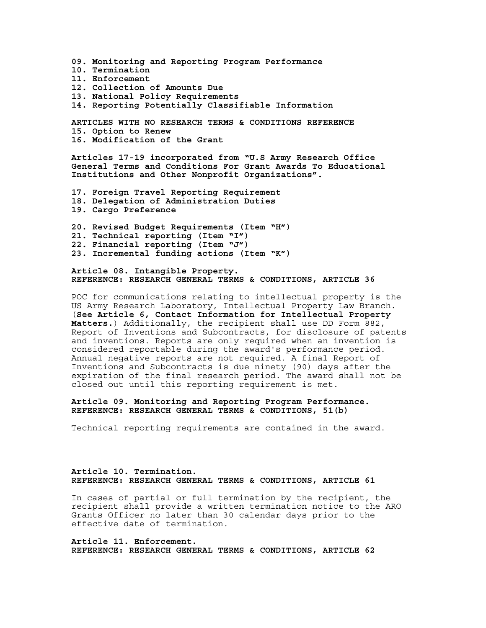**09. Monitoring and Reporting Program Performance 10. Termination 11. Enforcement 12. Collection of Amounts Due 13. National Policy Requirements 14. Reporting Potentially Classifiable Information ARTICLES WITH NO RESEARCH TERMS & CONDITIONS REFERENCE 15. Option to Renew 16. Modification of the Grant Articles 17-19 incorporated from "U.S Army Research Office General Terms and Conditions For Grant Awards To Educational Institutions and Other Nonprofit Organizations". 17. Foreign Travel Reporting Requirement** 

- **18. Delegation of Administration Duties 19. Cargo Preference**
- **20. Revised Budget Requirements (Item "H") 21. Technical reporting (Item "I") 22. Financial reporting (Item "J") 23. Incremental funding actions (Item "K")**

**Article 08. Intangible Property. REFERENCE: RESEARCH GENERAL TERMS & CONDITIONS, ARTICLE 36** 

POC for communications relating to intellectual property is the US Army Research Laboratory, Intellectual Property Law Branch. (**See Article 6, Contact Information for Intellectual Property Matters.**) Additionally, the recipient shall use DD Form 882, Report of Inventions and Subcontracts, for disclosure of patents and inventions. Reports are only required when an invention is considered reportable during the award's performance period. Annual negative reports are not required. A final Report of Inventions and Subcontracts is due ninety (90) days after the expiration of the final research period. The award shall not be closed out until this reporting requirement is met.

## **Article 09. Monitoring and Reporting Program Performance. REFERENCE: RESEARCH GENERAL TERMS & CONDITIONS, 51(b)**

Technical reporting requirements are contained in the award.

## **Article 10. Termination. REFERENCE: RESEARCH GENERAL TERMS & CONDITIONS, ARTICLE 61**

In cases of partial or full termination by the recipient, the recipient shall provide a written termination notice to the ARO Grants Officer no later than 30 calendar days prior to the effective date of termination.

**Article 11. Enforcement. REFERENCE: RESEARCH GENERAL TERMS & CONDITIONS, ARTICLE 62**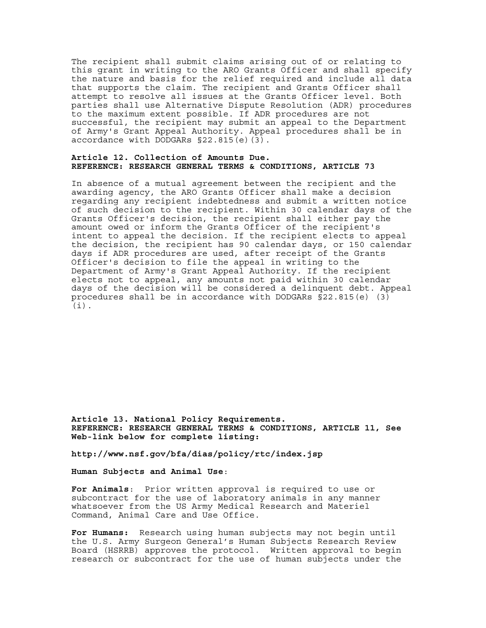The recipient shall submit claims arising out of or relating to this grant in writing to the ARO Grants Officer and shall specify the nature and basis for the relief required and include all data that supports the claim. The recipient and Grants Officer shall attempt to resolve all issues at the Grants Officer level. Both parties shall use Alternative Dispute Resolution (ADR) procedures to the maximum extent possible. If ADR procedures are not successful, the recipient may submit an appeal to the Department of Army's Grant Appeal Authority. Appeal procedures shall be in accordance with DODGARs §22.815(e)(3).

### **Article 12. Collection of Amounts Due. REFERENCE: RESEARCH GENERAL TERMS & CONDITIONS, ARTICLE 73**

In absence of a mutual agreement between the recipient and the awarding agency, the ARO Grants Officer shall make a decision regarding any recipient indebtedness and submit a written notice of such decision to the recipient. Within 30 calendar days of the Grants Officer's decision, the recipient shall either pay the amount owed or inform the Grants Officer of the recipient's intent to appeal the decision. If the recipient elects to appeal the decision, the recipient has 90 calendar days, or 150 calendar days if ADR procedures are used, after receipt of the Grants Officer's decision to file the appeal in writing to the Department of Army's Grant Appeal Authority. If the recipient elects not to appeal, any amounts not paid within 30 calendar days of the decision will be considered a delinquent debt. Appeal procedures shall be in accordance with DODGARs §22.815(e) (3) (i).

**Article 13. National Policy Requirements. REFERENCE: RESEARCH GENERAL TERMS & CONDITIONS, ARTICLE 11, See Web-link below for complete listing:** 

**http://www.nsf.gov/bfa/dias/policy/rtc/index.jsp** 

**Human Subjects and Animal Use**:

**For Animals**: Prior written approval is required to use or subcontract for the use of laboratory animals in any manner whatsoever from the US Army Medical Research and Materiel Command, Animal Care and Use Office.

**For Humans:** Research using human subjects may not begin until the U.S. Army Surgeon General's Human Subjects Research Review Board (HSRRB) approves the protocol. Written approval to begin research or subcontract for the use of human subjects under the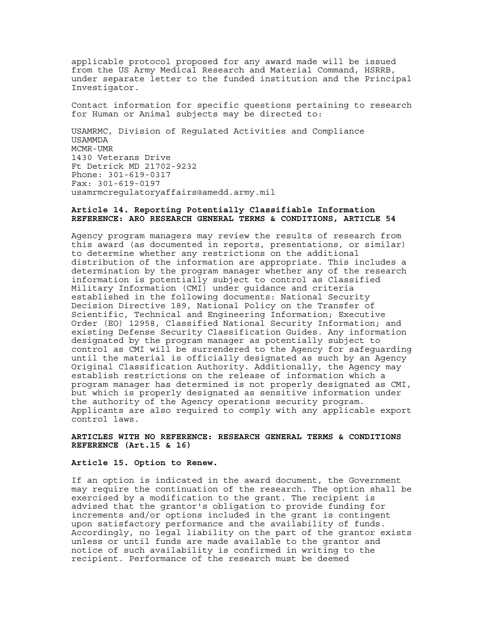applicable protocol proposed for any award made will be issued from the US Army Medical Research and Material Command, HSRRB, under separate letter to the funded institution and the Principal Investigator.

Contact information for specific questions pertaining to research for Human or Animal subjects may be directed to:

USAMRMC, Division of Regulated Activities and Compliance USAMMDA MCMR-UMR 1430 Veterans Drive Ft Detrick MD 21702-9232 Phone: 301-619-0317 Fax: 301-619-0197 usamrmcregulatoryaffairs@amedd.army.mil

#### **Article 14. Reporting Potentially Classifiable Information REFERENCE: ARO RESEARCH GENERAL TERMS & CONDITIONS, ARTICLE 54**

Agency program managers may review the results of research from this award (as documented in reports, presentations, or similar) to determine whether any restrictions on the additional distribution of the information are appropriate. This includes a determination by the program manager whether any of the research information is potentially subject to control as Classified Military Information (CMI) under guidance and criteria established in the following documents: National Security Decision Directive 189, National Policy on the Transfer of Scientific, Technical and Engineering Information; Executive Order (EO) 12958, Classified National Security Information; and existing Defense Security Classification Guides. Any information designated by the program manager as potentially subject to control as CMI will be surrendered to the Agency for safeguarding until the material is officially designated as such by an Agency Original Classification Authority. Additionally, the Agency may establish restrictions on the release of information which a program manager has determined is not properly designated as CMI, but which is properly designated as sensitive information under the authority of the Agency operations security program. Applicants are also required to comply with any applicable export control laws.

#### **ARTICLES WITH NO REFERENCE: RESEARCH GENERAL TERMS & CONDITIONS REFERENCE (Art.15 & 16)**

#### **Article 15. Option to Renew.**

If an option is indicated in the award document, the Government may require the continuation of the research. The option shall be exercised by a modification to the grant. The recipient is advised that the grantor's obligation to provide funding for increments and/or options included in the grant is contingent upon satisfactory performance and the availability of funds. Accordingly, no legal liability on the part of the grantor exists unless or until funds are made available to the grantor and notice of such availability is confirmed in writing to the recipient. Performance of the research must be deemed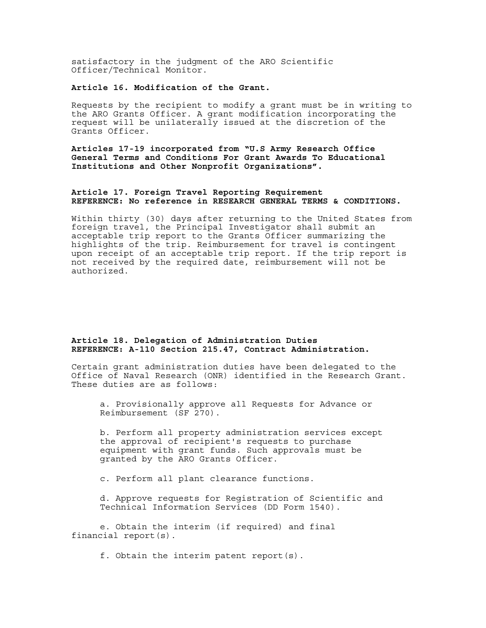satisfactory in the judgment of the ARO Scientific Officer/Technical Monitor.

## **Article 16. Modification of the Grant.**

Requests by the recipient to modify a grant must be in writing to the ARO Grants Officer. A grant modification incorporating the request will be unilaterally issued at the discretion of the Grants Officer.

**Articles 17-19 incorporated from "U.S Army Research Office General Terms and Conditions For Grant Awards To Educational Institutions and Other Nonprofit Organizations".** 

### **Article 17. Foreign Travel Reporting Requirement REFERENCE: No reference in RESEARCH GENERAL TERMS & CONDITIONS.**

Within thirty (30) days after returning to the United States from foreign travel, the Principal Investigator shall submit an acceptable trip report to the Grants Officer summarizing the highlights of the trip. Reimbursement for travel is contingent upon receipt of an acceptable trip report. If the trip report is not received by the required date, reimbursement will not be authorized.

## **Article 18. Delegation of Administration Duties REFERENCE: A-110 Section 215.47, Contract Administration.**

Certain grant administration duties have been delegated to the Office of Naval Research (ONR) identified in the Research Grant. These duties are as follows:

a. Provisionally approve all Requests for Advance or Reimbursement (SF 270).

b. Perform all property administration services except the approval of recipient's requests to purchase equipment with grant funds. Such approvals must be granted by the ARO Grants Officer.

c. Perform all plant clearance functions.

d. Approve requests for Registration of Scientific and Technical Information Services (DD Form 1540).

e. Obtain the interim (if required) and final financial report(s).

f. Obtain the interim patent report(s).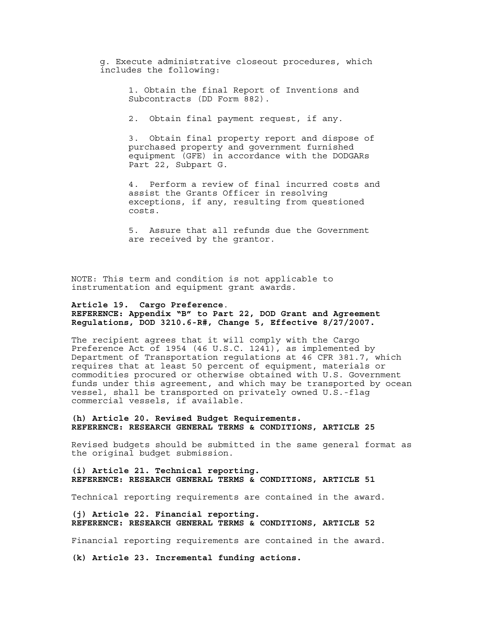g. Execute administrative closeout procedures, which includes the following:

> 1. Obtain the final Report of Inventions and Subcontracts (DD Form 882).

2. Obtain final payment request, if any.

3. Obtain final property report and dispose of purchased property and government furnished equipment (GFE) in accordance with the DODGARs Part 22, Subpart G.

4. Perform a review of final incurred costs and assist the Grants Officer in resolving exceptions, if any, resulting from questioned costs.

5. Assure that all refunds due the Government are received by the grantor.

NOTE: This term and condition is not applicable to instrumentation and equipment grant awards.

## **Article 19. Cargo Preference**.

**REFERENCE: Appendix "B" to Part 22, DOD Grant and Agreement Regulations, DOD 3210.6-R#, Change 5, Effective 8/27/2007.** 

The recipient agrees that it will comply with the Cargo Preference Act of 1954 (46 U.S.C. 1241), as implemented by Department of Transportation regulations at 46 CFR 381.7, which requires that at least 50 percent of equipment, materials or commodities procured or otherwise obtained with U.S. Government funds under this agreement, and which may be transported by ocean vessel, shall be transported on privately owned U.S.-flag commercial vessels, if available.

#### **(h) Article 20. Revised Budget Requirements. REFERENCE: RESEARCH GENERAL TERMS & CONDITIONS, ARTICLE 25**

Revised budgets should be submitted in the same general format as the original budget submission.

## **(i) Article 21. Technical reporting. REFERENCE: RESEARCH GENERAL TERMS & CONDITIONS, ARTICLE 51**

Technical reporting requirements are contained in the award.

### **(j) Article 22. Financial reporting. REFERENCE: RESEARCH GENERAL TERMS & CONDITIONS, ARTICLE 52**

Financial reporting requirements are contained in the award.

**(k) Article 23. Incremental funding actions.**